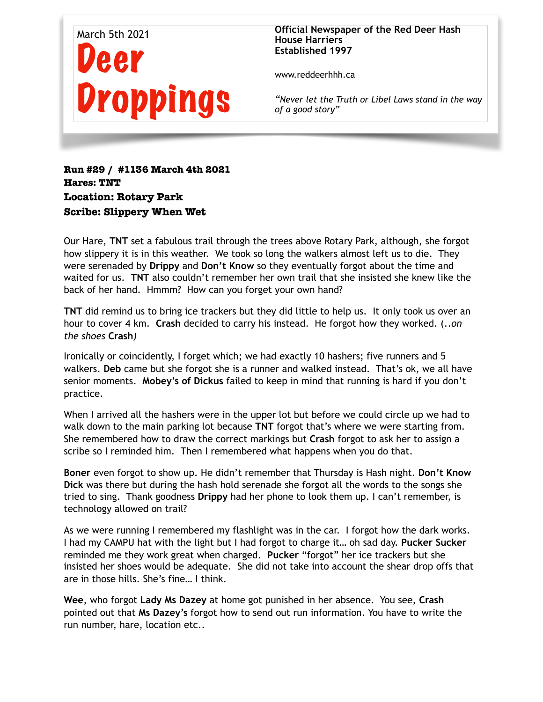

**Official Newspaper of the Red Deer Hash House Harriers Established 1997** 

www.reddeerhhh.ca

*"Never let the Truth or Libel Laws stand in the way of a good story"*

**Run #29 / #1136 March 4th 2021 Hares: TNT Location: Rotary Park Scribe: Slippery When Wet** 

Our Hare, **TNT** set a fabulous trail through the trees above Rotary Park, although, she forgot how slippery it is in this weather. We took so long the walkers almost left us to die. They were serenaded by **Drippy** and **Don't Know** so they eventually forgot about the time and waited for us. **TNT** also couldn't remember her own trail that she insisted she knew like the back of her hand. Hmmm? How can you forget your own hand?

**TNT** did remind us to bring ice trackers but they did little to help us. It only took us over an hour to cover 4 km. **Crash** decided to carry his instead. He forgot how they worked. (..*on the shoes* **Crash***)* 

Ironically or coincidently, I forget which; we had exactly 10 hashers; five runners and 5 walkers. **Deb** came but she forgot she is a runner and walked instead. That's ok, we all have senior moments. **Mobey's of Dickus** failed to keep in mind that running is hard if you don't practice.

When I arrived all the hashers were in the upper lot but before we could circle up we had to walk down to the main parking lot because **TNT** forgot that's where we were starting from. She remembered how to draw the correct markings but **Crash** forgot to ask her to assign a scribe so I reminded him. Then I remembered what happens when you do that.

**Boner** even forgot to show up. He didn't remember that Thursday is Hash night. **Don't Know Dick** was there but during the hash hold serenade she forgot all the words to the songs she tried to sing. Thank goodness **Drippy** had her phone to look them up. I can't remember, is technology allowed on trail?

As we were running I remembered my flashlight was in the car. I forgot how the dark works. I had my CAMPU hat with the light but I had forgot to charge it… oh sad day. **Pucker Sucker** reminded me they work great when charged. **Pucker** "forgot" her ice trackers but she insisted her shoes would be adequate. She did not take into account the shear drop offs that are in those hills. She's fine… I think.

**Wee**, who forgot **Lady Ms Dazey** at home got punished in her absence. You see, **Crash** pointed out that **Ms Dazey's** forgot how to send out run information. You have to write the run number, hare, location etc..